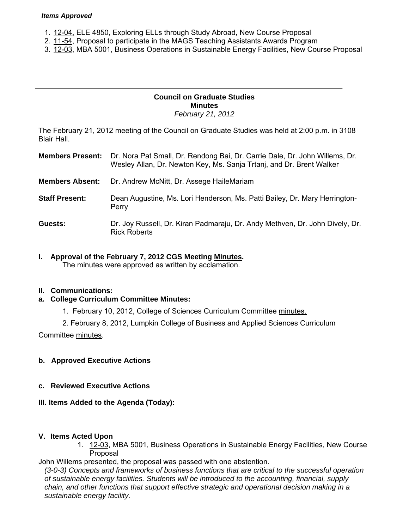#### *Items Approved*

- 1. [12-04,](http://castle.eiu.edu/~eiucgs/currentagendaitems/agenda12-04.pdf) ELE 4850, Exploring ELLs through Study Abroad, New Course Proposal
- 2. [11-54,](http://castle.eiu.edu/~eiucgs/currentagendaitems/agenda11-54.pdf) Proposal to participate in the MAGS Teaching Assistants Awards Program
- 3[. 12-03,](http://castle.eiu.edu/~eiucgs/currentagendaitems/agenda12-03.pdf) MBA 5001, Business Operations in Sustainable Energy Facilities, New Course Proposal

### **Council on Graduate Studies Minutes**  *February 21, 2012*

The February 21, 2012 meeting of the Council on Graduate Studies was held at 2:00 p.m. in 3108 Blair Hall.

- **Members Present:** Dr. Nora Pat Small, Dr. Rendong Bai, Dr. Carrie Dale, Dr. John Willems, Dr. Wesley Allan, Dr. Newton Key, Ms. Sanja Trtanj, and Dr. Brent Walker
- **Members Absent:** Dr. Andrew McNitt, Dr. Assege HaileMariam
- **Staff Present:** Dean Augustine, Ms. Lori Henderson, Ms. Patti Bailey, Dr. Mary Herrington-Perry
- **Guests:** Dr. Joy Russell, Dr. Kiran Padmaraju, Dr. Andy Methven, Dr. John Dively, Dr. Rick Roberts
- **I. Approval of the February 7, 2012 CGS Meeting [Minutes.](http://castle.eiu.edu/eiucgs/currentminutes/Minutes2-7-12.pdf)**

The minutes were approved as written by acclamation.

## **II. Communications:**

## **a. College Curriculum Committee Minutes:**

- 1. February 10, 2012, College of Sciences Curriculum Committee [minutes.](http://castle.eiu.edu/~eiucgs/currentagendaitems/COSMin2-10-12.pdf)
- 2. February 8, 2012, Lumpkin College of Business and Applied Sciences Curriculum

Committe[e minutes.](http://castle.eiu.edu/~eiucgs/currentagendaitems/LCBASMin2-8-12.pdf) 

## **b. Approved Executive Actions**

**c. Reviewed Executive Actions** 

## **III. Items Added to the Agenda (Today):**

### **V. Items Acted Upon**

1. [12-03,](http://castle.eiu.edu/~eiucgs/currentagendaitems/agenda12-03.pdf) MBA 5001, Business Operations in Sustainable Energy Facilities, New Course Proposal

John Willems presented, the proposal was passed with one abstention.

*(3-0-3) Concepts and frameworks of business functions that are critical to the successful operation of sustainable energy facilities. Students will be introduced to the accounting, financial, supply chain, and other functions that support effective strategic and operational decision making in a sustainable energy facility.*